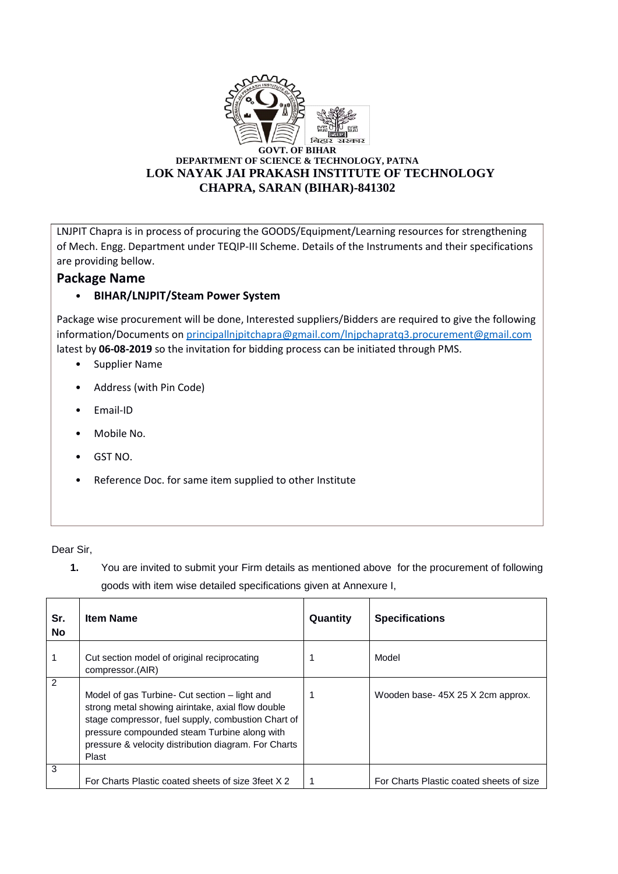

LNJPIT Chapra is in process of procuring the GOODS/Equipment/Learning resources for strengthening of Mech. Engg. Department under TEQIP-III Scheme. Details of the Instruments and their specifications are providing bellow.

## **Package Name**

## • **BIHAR/LNJPIT/Steam Power System**

Package wise procurement will be done, Interested suppliers/Bidders are required to give the following information/Documents o[n principallnjpitchapra@gmail.com/lnjpchapratq3.procurement@gmail.com](mailto:principallnjpitchapra@gmail.com/lnjpchapratq3.procurement@gmail.com) latest by **06-08-2019** so the invitation for bidding process can be initiated through PMS.

- Supplier Name
- Address (with Pin Code)
- Email-ID
- Mobile No.
- GST NO.
- Reference Doc. for same item supplied to other Institute

Dear Sir,

**1.** You are invited to submit your Firm details as mentioned above for the procurement of following goods with item wise detailed specifications given at Annexure I,

| Sr.<br><b>No</b> | <b>Item Name</b>                                                                                                                                                                                                                                                          | Quantity | <b>Specifications</b>                    |
|------------------|---------------------------------------------------------------------------------------------------------------------------------------------------------------------------------------------------------------------------------------------------------------------------|----------|------------------------------------------|
|                  | Cut section model of original reciprocating<br>compressor.(AIR)                                                                                                                                                                                                           | 1        | Model                                    |
| $\overline{2}$   | Model of gas Turbine- Cut section – light and<br>strong metal showing airintake, axial flow double<br>stage compressor, fuel supply, combustion Chart of<br>pressure compounded steam Turbine along with<br>pressure & velocity distribution diagram. For Charts<br>Plast |          | Wooden base-45X 25 X 2cm approx.         |
| 3                | For Charts Plastic coated sheets of size 3 feet X 2                                                                                                                                                                                                                       |          | For Charts Plastic coated sheets of size |